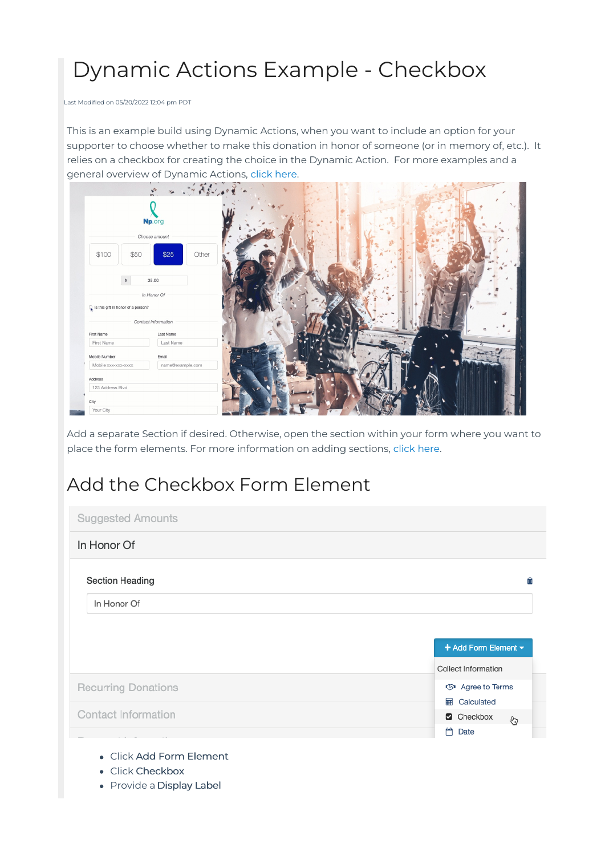# Dynamic Actions Example - Checkbox

Last Modified on 05/20/2022 12:04 pm PDT

This is an example build using Dynamic Actions, when you want to include an option for your supporter to choose whether to make this donation in honor of someone (or in memory of, etc.). It relies on a checkbox for creating the choice in the Dynamic Action. For more examples and a general overview of Dynamic Actions, [click](http://support.mobilecause.com/help/dynamic-actions) here.

|                                    | - 今天 11<br>$\sim$   |  |              |
|------------------------------------|---------------------|--|--------------|
|                                    | Np.org              |  |              |
|                                    | Choose amount       |  |              |
| \$100<br>\$50                      | \$25<br>Other       |  |              |
| $$\mathbb{S}$$                     | 25.00               |  |              |
|                                    | In Honor Of         |  |              |
| Is this gift in honor of a person? |                     |  |              |
|                                    | Contact information |  |              |
| First Name                         | Last Name           |  | $\mathbf{P}$ |
| First Name                         | Last Name           |  |              |
| Mobile Number                      | Email               |  |              |
| Mobile xxx-xxx-xxxx                | name@example.com    |  |              |
| Address                            |                     |  |              |
| 123 Address Blvd                   |                     |  |              |
|                                    |                     |  |              |
| City                               |                     |  |              |

Add a separate Section if desired. Otherwise, open the section within your form where you want to place the form elements. For more information on adding sections, [click](http://support.mobilecause.com/help/add-or-manage-sections) here.

## Add the Checkbox Form Element

| <b>Suggested Amounts</b>   |                      |
|----------------------------|----------------------|
| In Honor Of                |                      |
| <b>Section Heading</b>     | Ŵ                    |
| In Honor Of                |                      |
|                            |                      |
|                            |                      |
|                            | + Add Form Element - |
|                            | Collect Information  |
| <b>Recurring Donations</b> | <br>Agree to Terms   |
|                            | <b>■ Calculated</b>  |
| Contact Information        | Checkbox<br>€        |

- Click Add Form Element
- Click Checkbox
- Provide a Display Label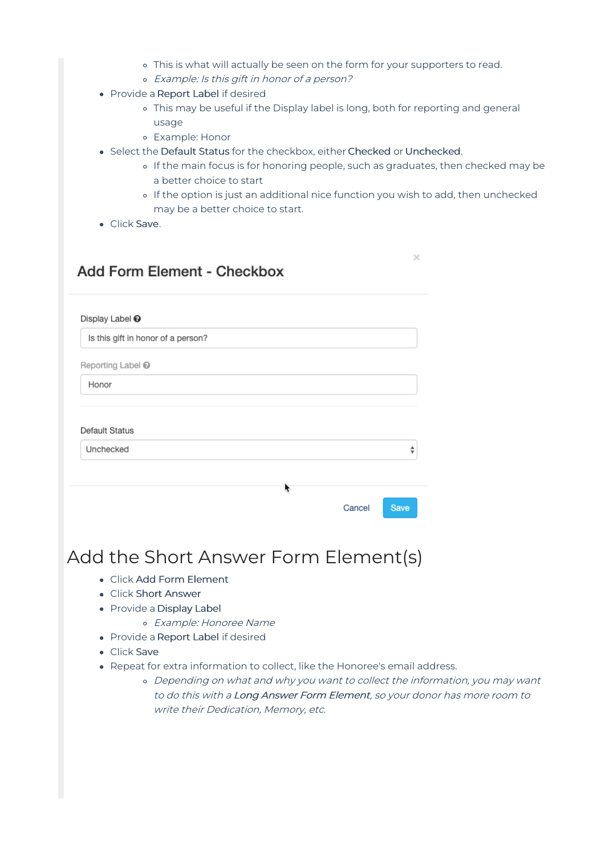- This is what will actually be seen on the form for your supporters to read.
- Example: Is this gift in honor of <sup>a</sup> person?
- Provide a Report Label if desired
	- This may be useful if the Display label is long, both for reporting and general usage
	- Example: Honor
- Select the Default Status for the checkbox, either Checked or Unchecked.
	- If the main focus is for honoring people, such as graduates, then checked may be a better choice to start
	- o If the option is just an additional nice function you wish to add, then unchecked may be a better choice to start.

 $\times$ 

• Click Save.

#### Add Form Element - Checkbox

| Is this gift in honor of a person? |   |        |      |
|------------------------------------|---|--------|------|
|                                    |   |        |      |
| Reporting Label <sup>®</sup>       |   |        |      |
| Honor                              |   |        |      |
|                                    |   |        |      |
| Default Status                     |   |        |      |
| Unchecked                          |   |        | ÷    |
|                                    |   |        |      |
|                                    | ŕ |        |      |
|                                    |   | Cancel | Save |

### Add the Short Answer Form Element(s)

- Click Add Form Element
- Click Short Answer
- Provide a Display Label
	- Example: Honoree Name
- Provide a Report Label if desired
- Click Save
- Repeat for extra information to collect, like the Honoree's email address.
	- Depending on what and why you want to collect the information, you may want to do this with <sup>a</sup> Long Answer Form Element, so your donor has more room to write their Dedication, Memory, etc.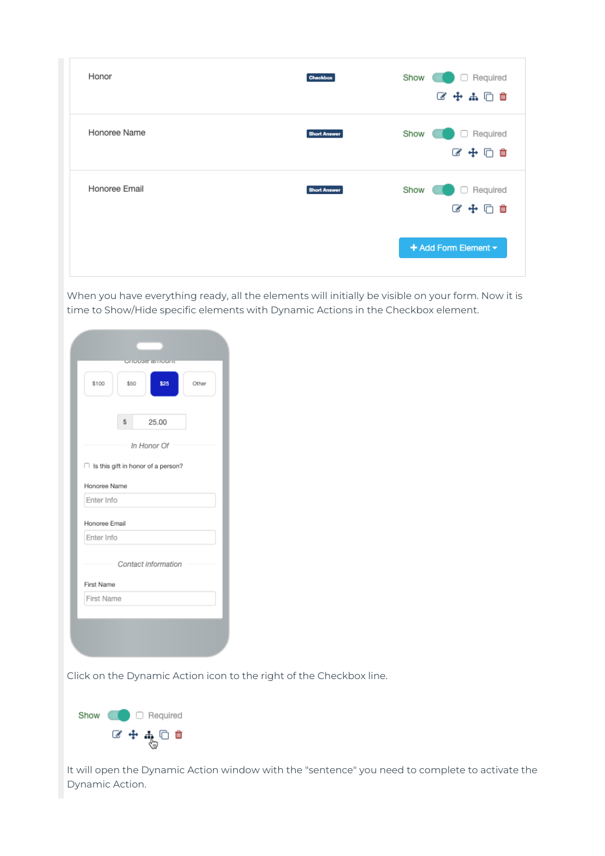| Honor         | <b>Checkbox</b>     | Show<br>Required<br>∩<br>区中品口面   |
|---------------|---------------------|----------------------------------|
| Honoree Name  | <b>Short Answer</b> | Required<br>Show<br>u<br>■中国 ■   |
| Honoree Email | <b>Short Answer</b> | Show<br>Required<br>o<br>2 中 口 血 |
|               |                     | + Add Form Element -             |

When you have everything ready, all the elements will initially be visible on your form. Now it is time to Show/Hide specific elements with Dynamic Actions in the Checkbox element.

| \$100         | \$25<br>\$50<br>Other                |
|---------------|--------------------------------------|
|               | \$<br>25.00                          |
|               | In Honor Of                          |
|               | □ Is this gift in honor of a person? |
| Honoree Name  |                                      |
| Enter Info    |                                      |
| Honoree Email |                                      |
| Enter Info    |                                      |
|               | Contact information                  |
| First Name    |                                      |
| First Name    |                                      |
|               |                                      |

Dynamic Action icon to the right of the Checkbox line.



It will open the Dynamic Action window with the "sentence" you need to complete to activate the Dynamic Action.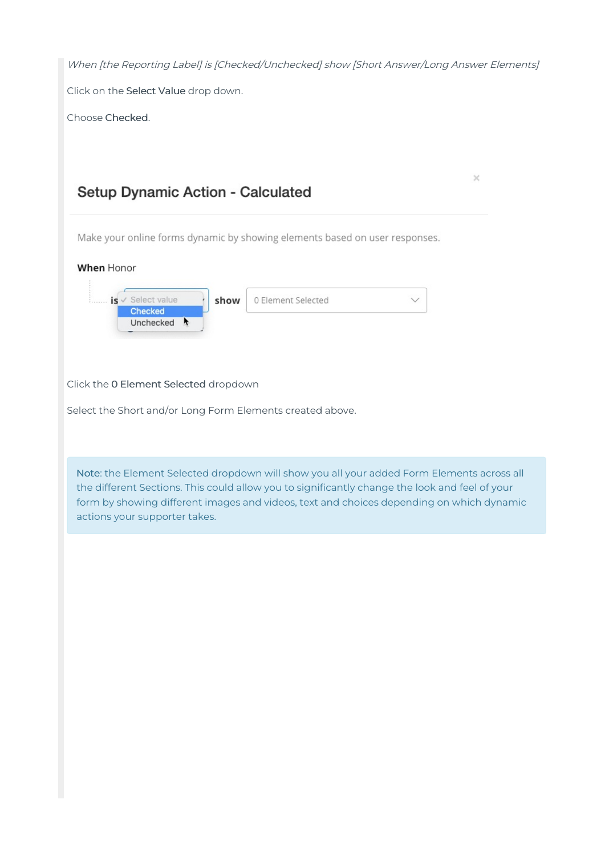| When [the Reporting Label] is [Checked/Unchecked] show [Short Answer/Long Answer Elements]                                                                                                                                                                                                                               |
|--------------------------------------------------------------------------------------------------------------------------------------------------------------------------------------------------------------------------------------------------------------------------------------------------------------------------|
| Click on the Select Value drop down.                                                                                                                                                                                                                                                                                     |
| Choose Checked.                                                                                                                                                                                                                                                                                                          |
|                                                                                                                                                                                                                                                                                                                          |
| ×                                                                                                                                                                                                                                                                                                                        |
| Setup Dynamic Action - Calculated                                                                                                                                                                                                                                                                                        |
| Make your online forms dynamic by showing elements based on user responses.                                                                                                                                                                                                                                              |
| When Honor                                                                                                                                                                                                                                                                                                               |
| is v Select value<br>0 Element Selected<br>show<br>$\checkmark$<br><b>Checked</b><br>Unchecked +                                                                                                                                                                                                                         |
| Click the 0 Element Selected dropdown                                                                                                                                                                                                                                                                                    |
| Select the Short and/or Long Form Elements created above.                                                                                                                                                                                                                                                                |
| Note: the Element Selected dropdown will show you all your added Form Elements across all<br>the different Sections. This could allow you to significantly change the look and feel of your<br>form by showing different images and videos, text and choices depending on which dynamic<br>actions your supporter takes. |
|                                                                                                                                                                                                                                                                                                                          |
|                                                                                                                                                                                                                                                                                                                          |
|                                                                                                                                                                                                                                                                                                                          |
|                                                                                                                                                                                                                                                                                                                          |
|                                                                                                                                                                                                                                                                                                                          |
|                                                                                                                                                                                                                                                                                                                          |
|                                                                                                                                                                                                                                                                                                                          |
|                                                                                                                                                                                                                                                                                                                          |
|                                                                                                                                                                                                                                                                                                                          |
|                                                                                                                                                                                                                                                                                                                          |
|                                                                                                                                                                                                                                                                                                                          |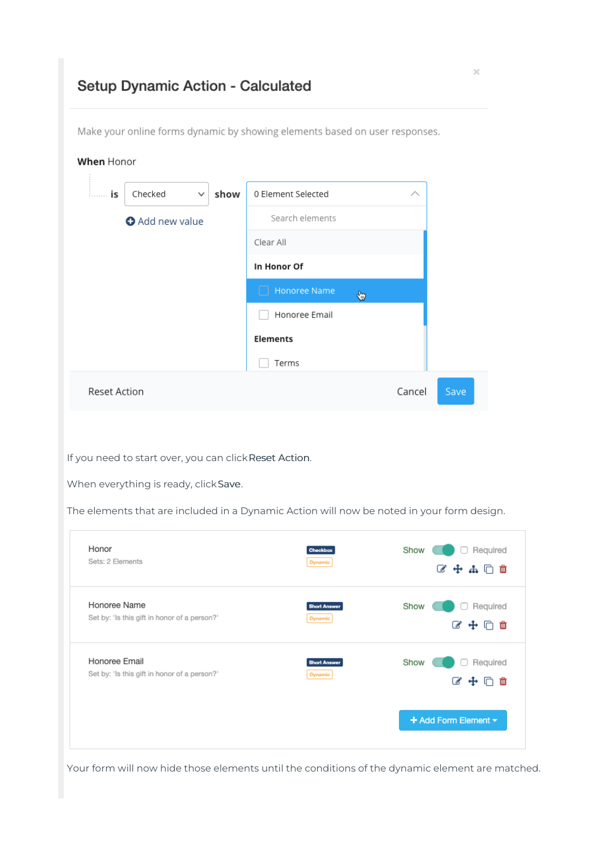### Setup Dynamic Action - Calculated

Make your online forms dynamic by showing elements based on user responses.

| is                        | Checked<br>$\checkmark$                      | show            | 0 Element Selected                                                                                                                                  |  |
|---------------------------|----------------------------------------------|-----------------|-----------------------------------------------------------------------------------------------------------------------------------------------------|--|
| <b>O</b> Add new value    |                                              | Search elements |                                                                                                                                                     |  |
|                           |                                              |                 | Clear All                                                                                                                                           |  |
|                           |                                              |                 | In Honor Of                                                                                                                                         |  |
|                           |                                              |                 | Honoree Name<br>⊕                                                                                                                                   |  |
|                           |                                              |                 | Honoree Email                                                                                                                                       |  |
|                           |                                              |                 | <b>Elements</b>                                                                                                                                     |  |
|                           |                                              |                 | Terms                                                                                                                                               |  |
| <b>Reset Action</b>       |                                              |                 | Cancel<br>Save                                                                                                                                      |  |
|                           | When everything is ready, click Save.        |                 | If you need to start over, you can click Reset Action.<br>The elements that are included in a Dynamic Action will now be noted in your form design. |  |
| Honor<br>Sets: 2 Elements |                                              |                 | Required<br>Show<br>Checkbox<br><b>Dynamic</b>                                                                                                      |  |
|                           |                                              |                 | ■●中品□■                                                                                                                                              |  |
| Honoree Name              | Set by: 'Is this gift in honor of a person?' |                 | Show<br>□ Required<br>Short Answer                                                                                                                  |  |
|                           |                                              |                 | <b>Dynamic</b><br>■ 中 小 ロ                                                                                                                           |  |
| Honoree Email             |                                              |                 | Show<br>Required<br><b>Short Answer</b>                                                                                                             |  |
|                           | Set by: 'Is this gift in honor of a person?' |                 | <b>Dynamic</b><br>6 中 口 血                                                                                                                           |  |